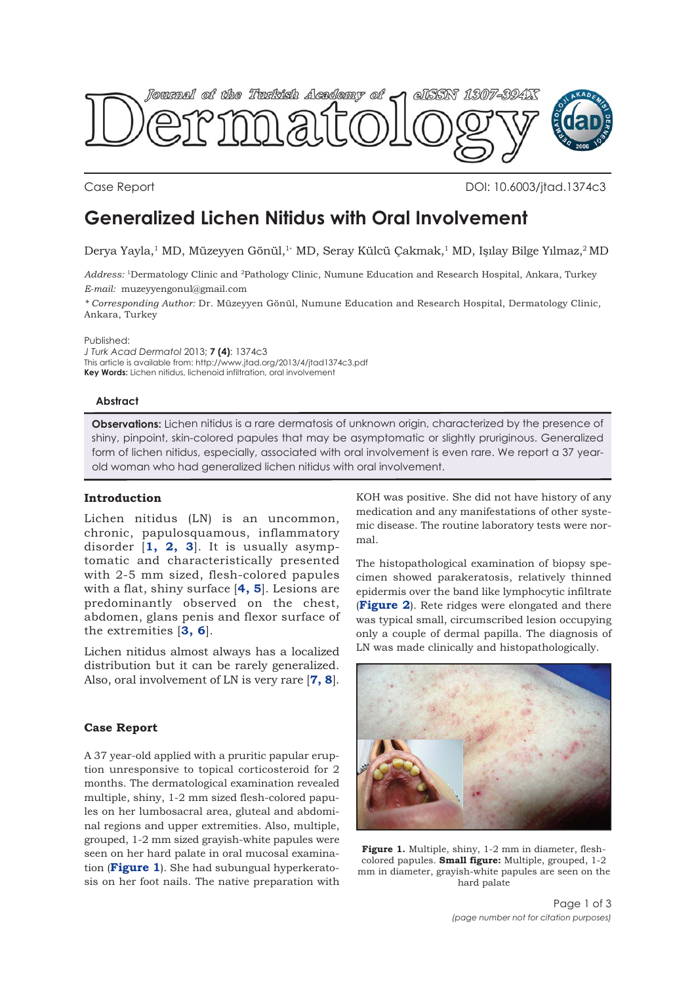

Case Report DOI: 10.6003/jtad.1374c3

# **Generalized Lichen Nitidus with Oral Involvement**

Derya Yayla,<sup>1</sup> MD, Müzeyyen Gönül,<sup>1</sup>' MD, Seray Külcü Çakmak,<sup>1</sup> MD, Işılay Bilge Yılmaz,<sup>2</sup> MD

*Address:* 1Dermatology Clinic and 2Pathology Clinic, Numune Education and Research Hospital, Ankara, Turkey *E-mail:* muzeyyengonul@gmail.com

*\* Corresponding Author:* Dr. Müzeyyen Gönül, Numune Education and Research Hospital, Dermatology Clinic, Ankara, Turkey

Published:

*J Turk Acad Dermatol* 2013; **7 (4)**: 1374c3 This article is available from: http://www.jtad.org/2013/4/jtad1374c3.pdf **Key Words:** Lichen nitidus, lichenoid infiltration, oral involvement

### **Abstract**

**Observations:** Lichen nitidus is a rare dermatosis of unknown origin, characterized by the presence of shiny, pinpoint, skin-colored papules that may be asymptomatic or slightly pruriginous. Generalized form of lichen nitidus, especially, associated with oral involvement is even rare. We report a 37 yearold woman who had generalized lichen nitidus with oral involvement.

## **Introduction**

Lichen nitidus (LN) is an uncommon, chronic, papulosquamous, inflammatory disorder [**1, 2, 3**]. It is usually asymptomatic and characteristically presented with 2-5 mm sized, flesh-colored papules with a flat, shiny surface [**4, 5**]. Lesions are predominantly observed on the chest, abdomen, glans penis and flexor surface of the extremities [**3, 6**].

Lichen nitidus almost always has a localized distribution but it can be rarely generalized. Also, oral involvement of LN is very rare [**7, 8**].

# **Case Report**

A 37 year-old applied with a pruritic papular eruption unresponsive to topical corticosteroid for 2 months. The dermatological examination revealed multiple, shiny, 1-2 mm sized flesh-colored papules on her lumbosacral area, gluteal and abdominal regions and upper extremities. Also, multiple, grouped, 1-2 mm sized grayish-white papules were seen on her hard palate in oral mucosal examination (**Figure 1**). She had subungual hyperkeratosis on her foot nails. The native preparation with

KOH was positive. She did not have history of any medication and any manifestations of other systemic disease. The routine laboratory tests were normal.

The histopathological examination of biopsy specimen showed parakeratosis, relatively thinned epidermis over the band like lymphocytic infiltrate (**Figure 2**). Rete ridges were elongated and there was typical small, circumscribed lesion occupying only a couple of dermal papilla. The diagnosis of LN was made clinically and histopathologically.



Figure 1. Multiple, shiny, 1-2 mm in diameter, fleshcolored papules. **Small figure:** Multiple, grouped, 1-2 mm in diameter, grayish-white papules are seen on the hard palate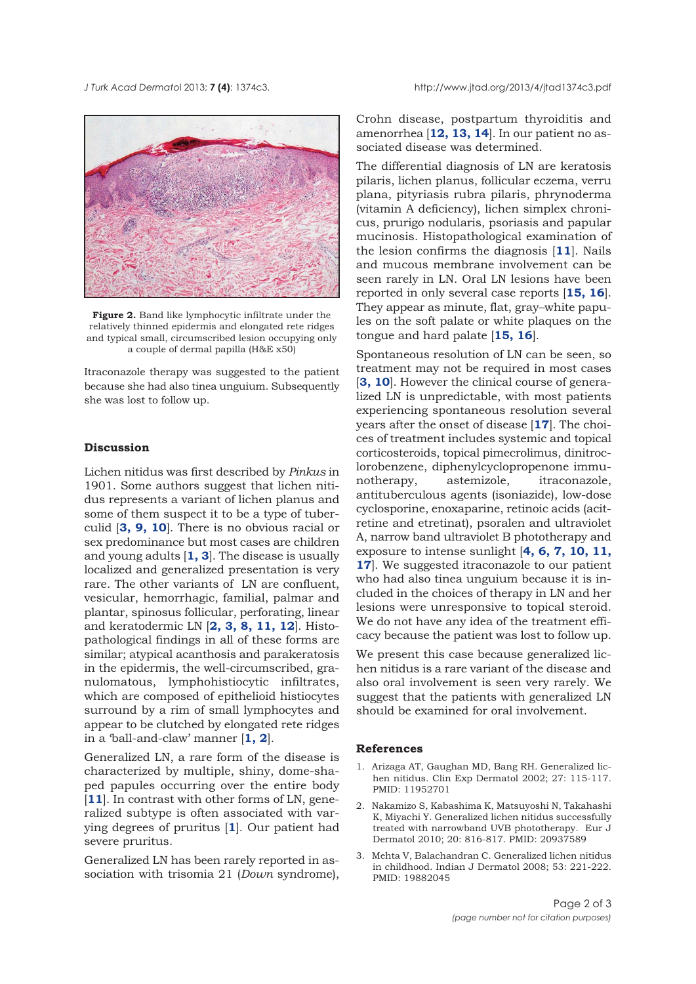

Figure 2. Band like lymphocytic infiltrate under the relatively thinned epidermis and elongated rete ridges and typical small, circumscribed lesion occupying only a couple of dermal papilla (H&E x50)

Itraconazole therapy was suggested to the patient because she had also tinea unguium. Subsequently she was lost to follow up.

#### **Discussion**

Lichen nitidus was first described by *Pinkus* in 1901. Some authors suggest that lichen nitidus represents a variant of lichen planus and some of them suspect it to be a type of tuberculid [**3, 9, 10**]. There is no obvious racial or sex predominance but most cases are children and young adults [**1, 3**]. The disease is usually localized and generalized presentation is very rare. The other variants of LN are confluent, vesicular, hemorrhagic, familial, palmar and plantar, spinosus follicular, perforating, linear and keratodermic LN [**2, 3, 8, 11, 12**]. Histopathological findings in all of these forms are similar; atypical acanthosis and parakeratosis in the epidermis, the well-circumscribed, granulomatous, lymphohistiocytic infiltrates, which are composed of epithelioid histiocytes surround by a rim of small lymphocytes and appear to be clutched by elongated rete ridges in a 'ball-and-claw' manner [**1, 2**].

Generalized LN, a rare form of the disease is characterized by multiple, shiny, dome-shaped papules occurring over the entire body [11]. In contrast with other forms of LN, generalized subtype is often associated with varying degrees of pruritus [**1**]. Our patient had severe pruritus.

Generalized LN has been rarely reported in association with trisomia 21 (*Down* syndrome),

Crohn disease, postpartum thyroiditis and amenorrhea [**12, 13, 14**]. In our patient no associated disease was determined.

The differential diagnosis of LN are keratosis pilaris, lichen planus, follicular eczema, verru plana, pityriasis rubra pilaris, phrynoderma (vitamin A deficiency), lichen simplex chronicus, prurigo nodularis, psoriasis and papular mucinosis. Histopathological examination of the lesion confirms the diagnosis [**11**]. Nails and mucous membrane involvement can be seen rarely in LN. Oral LN lesions have been reported in only several case reports [**15, 16**]. They appear as minute, flat, gray–white papules on the soft palate or white plaques on the tongue and hard palate [**15, 16**].

Spontaneous resolution of LN can be seen, so treatment may not be required in most cases [3, 10]. However the clinical course of generalized LN is unpredictable, with most patients experiencing spontaneous resolution several years after the onset of disease [**17**]. The choices of treatment includes systemic and topical corticosteroids, topical pimecrolimus, dinitroclorobenzene, diphenylcyclopropenone immunotherapy, astemizole, itraconazole, antituberculous agents (isoniazide), low-dose cyclosporine, enoxaparine, retinoic acids (acitretine and etretinat), psoralen and ultraviolet A, narrow band ultraviolet B phototherapy and exposure to intense sunlight [**4, 6, 7, 10, 11, 17**]. We suggested itraconazole to our patient who had also tinea unguium because it is included in the choices of therapy in LN and her lesions were unresponsive to topical steroid. We do not have any idea of the treatment efficacy because the patient was lost to follow up.

We present this case because generalized lichen nitidus is a rare variant of the disease and also oral involvement is seen very rarely. We suggest that the patients with generalized LN should be examined for oral involvement.

#### **References**

- 1. Arizaga AT, Gaughan MD, Bang RH. Generalized lichen nitidus. Clin Exp Dermatol 2002; 27: 115-117. PMID: 11952701
- 2. Nakamizo S, Kabashima K, Matsuyoshi N, Takahashi K, Miyachi Y. Generalized lichen nitidus successfully treated with narrowband UVB phototherapy. Eur J Dermatol 2010; 20: 816-817. PMID: 20937589
- 3. Mehta V, Balachandran C. Generalized lichen nitidus in childhood. Indian J Dermatol 2008; 53: 221-222. PMID: 19882045